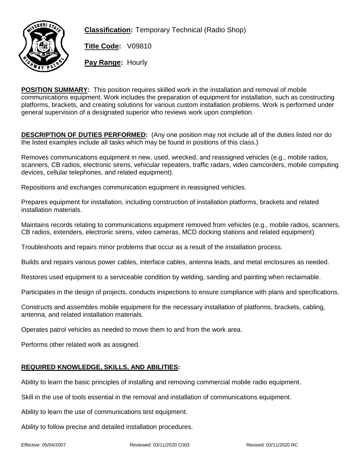

**Classification:** Temporary Technical (Radio Shop)

**Title Code:** V09810

**Pay Range:** Hourly

**POSITION SUMMARY:** This position requires skilled work in the installation and removal of mobile communications equipment. Work includes the preparation of equipment for installation, such as constructing platforms, brackets, and creating solutions for various custom installation problems. Work is performed under general supervision of a designated superior who reviews work upon completion.

**DESCRIPTION OF DUTIES PERFORMED:** (Any one position may not include all of the duties listed nor do the listed examples include all tasks which may be found in positions of this class.)

Removes communications equipment in new, used, wrecked, and reassigned vehicles (e.g., mobile radios, scanners, CB radios, electronic sirens, vehicular repeaters, traffic radars, video camcorders, mobile computing devices, cellular telephones, and related equipment).

Repositions and exchanges communication equipment in reassigned vehicles.

Prepares equipment for installation, including construction of installation platforms, brackets and related installation materials.

Maintains records relating to communications equipment removed from vehicles (e.g., mobile radios, scanners, CB radios, extenders, electronic sirens, video cameras, MCD docking stations and related equipment).

Troubleshoots and repairs minor problems that occur as a result of the installation process.

Builds and repairs various power cables, interface cables, antenna leads, and metal enclosures as needed.

Restores used equipment to a serviceable condition by welding, sanding and painting when reclaimable.

Participates in the design of projects, conducts inspections to ensure compliance with plans and specifications.

Constructs and assembles mobile equipment for the necessary installation of platforms, brackets, cabling, antenna, and related installation materials.

Operates patrol vehicles as needed to move them to and from the work area.

Performs other related work as assigned.

## **REQUIRED KNOWLEDGE, SKILLS, AND ABILITIES:**

Ability to learn the basic principles of installing and removing commercial mobile radio equipment.

Skill in the use of tools essential in the removal and installation of communications equipment.

Ability to learn the use of communications test equipment.

Ability to follow precise and detailed installation procedures.